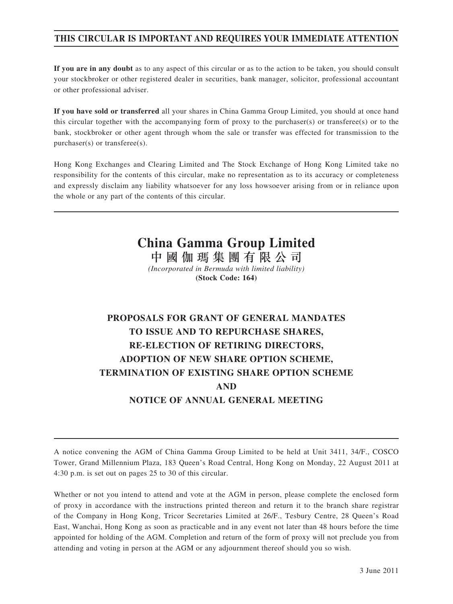# **THIS CIRCULAR IS IMPORTANT AND REQUIRES YOUR IMMEDIATE ATTENTION**

**If you are in any doubt** as to any aspect of this circular or as to the action to be taken, you should consult your stockbroker or other registered dealer in securities, bank manager, solicitor, professional accountant or other professional adviser.

**If you have sold or transferred** all your shares in China Gamma Group Limited, you should at once hand this circular together with the accompanying form of proxy to the purchaser(s) or transferee(s) or to the bank, stockbroker or other agent through whom the sale or transfer was effected for transmission to the purchaser(s) or transferee(s).

Hong Kong Exchanges and Clearing Limited and The Stock Exchange of Hong Kong Limited take no responsibility for the contents of this circular, make no representation as to its accuracy or completeness and expressly disclaim any liability whatsoever for any loss howsoever arising from or in reliance upon the whole or any part of the contents of this circular.

# **China Gamma Group Limited**

中國伽瑪集團有限公司 *(Incorporated in Bermuda with limited liability)* **(Stock Code: 164)**

# **PROPOSALS FOR GRANT OF GENERAL MANDATES TO ISSUE AND TO REPURCHASE SHARES, RE-ELECTION OF RETIRING DIRECTORS, ADOPTION OF NEW SHARE OPTION SCHEME, TERMINATION OF EXISTING SHARE OPTION SCHEME AND NOTICE OF ANNUAL GENERAL MEETING**

A notice convening the AGM of China Gamma Group Limited to be held at Unit 3411, 34/F., COSCO Tower, Grand Millennium Plaza, 183 Queen's Road Central, Hong Kong on Monday, 22 August 2011 at 4:30 p.m. is set out on pages 25 to 30 of this circular.

Whether or not you intend to attend and vote at the AGM in person, please complete the enclosed form of proxy in accordance with the instructions printed thereon and return it to the branch share registrar of the Company in Hong Kong, Tricor Secretaries Limited at 26/F., Tesbury Centre, 28 Queen's Road East, Wanchai, Hong Kong as soon as practicable and in any event not later than 48 hours before the time appointed for holding of the AGM. Completion and return of the form of proxy will not preclude you from attending and voting in person at the AGM or any adjournment thereof should you so wish.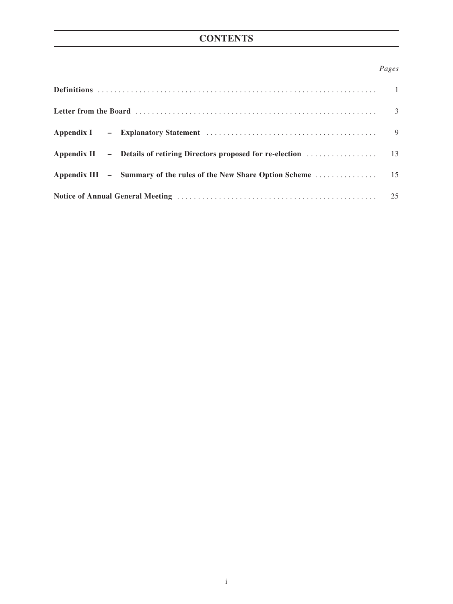# **CONTENTS**

# *Pages*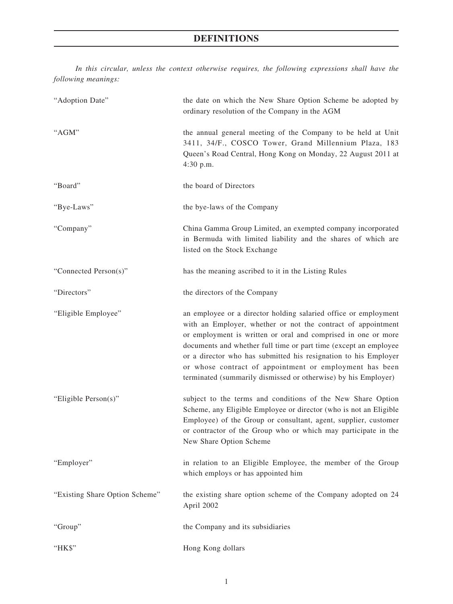# **DEFINITIONS**

*In this circular, unless the context otherwise requires, the following expressions shall have the following meanings:*

| "Adoption Date"                | the date on which the New Share Option Scheme be adopted by<br>ordinary resolution of the Company in the AGM                                                                                                                                                                                                                                                                                                                                                         |  |
|--------------------------------|----------------------------------------------------------------------------------------------------------------------------------------------------------------------------------------------------------------------------------------------------------------------------------------------------------------------------------------------------------------------------------------------------------------------------------------------------------------------|--|
| "AGM"                          | the annual general meeting of the Company to be held at Unit<br>3411, 34/F., COSCO Tower, Grand Millennium Plaza, 183<br>Queen's Road Central, Hong Kong on Monday, 22 August 2011 at<br>4:30 p.m.                                                                                                                                                                                                                                                                   |  |
| "Board"                        | the board of Directors                                                                                                                                                                                                                                                                                                                                                                                                                                               |  |
| "Bye-Laws"                     | the bye-laws of the Company                                                                                                                                                                                                                                                                                                                                                                                                                                          |  |
| "Company"                      | China Gamma Group Limited, an exempted company incorporated<br>in Bermuda with limited liability and the shares of which are<br>listed on the Stock Exchange                                                                                                                                                                                                                                                                                                         |  |
| "Connected Person(s)"          | has the meaning ascribed to it in the Listing Rules                                                                                                                                                                                                                                                                                                                                                                                                                  |  |
| "Directors"                    | the directors of the Company                                                                                                                                                                                                                                                                                                                                                                                                                                         |  |
| "Eligible Employee"            | an employee or a director holding salaried office or employment<br>with an Employer, whether or not the contract of appointment<br>or employment is written or oral and comprised in one or more<br>documents and whether full time or part time (except an employee<br>or a director who has submitted his resignation to his Employer<br>or whose contract of appointment or employment has been<br>terminated (summarily dismissed or otherwise) by his Employer) |  |
| "Eligible Person(s)"           | subject to the terms and conditions of the New Share Option<br>Scheme, any Eligible Employee or director (who is not an Eligible<br>Employee) of the Group or consultant, agent, supplier, customer<br>or contractor of the Group who or which may participate in the<br>New Share Option Scheme                                                                                                                                                                     |  |
| "Employer"                     | in relation to an Eligible Employee, the member of the Group<br>which employs or has appointed him                                                                                                                                                                                                                                                                                                                                                                   |  |
| "Existing Share Option Scheme" | the existing share option scheme of the Company adopted on 24<br>April 2002                                                                                                                                                                                                                                                                                                                                                                                          |  |
| "Group"                        | the Company and its subsidiaries                                                                                                                                                                                                                                                                                                                                                                                                                                     |  |
| "HK\$"                         | Hong Kong dollars                                                                                                                                                                                                                                                                                                                                                                                                                                                    |  |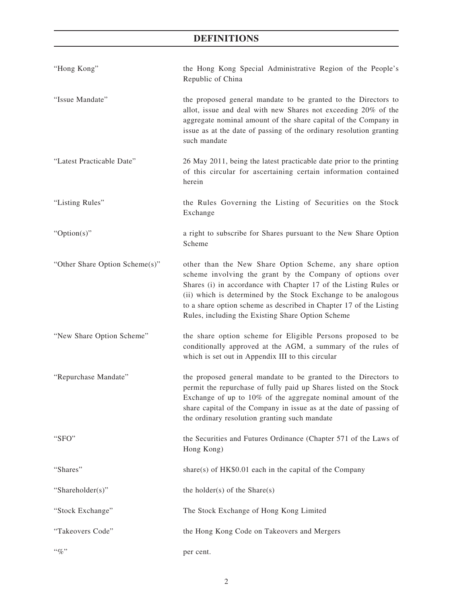# **DEFINITIONS**

| "Hong Kong"                    | the Hong Kong Special Administrative Region of the People's<br>Republic of China                                                                                                                                                                                                                                                                                                       |
|--------------------------------|----------------------------------------------------------------------------------------------------------------------------------------------------------------------------------------------------------------------------------------------------------------------------------------------------------------------------------------------------------------------------------------|
| "Issue Mandate"                | the proposed general mandate to be granted to the Directors to<br>allot, issue and deal with new Shares not exceeding 20% of the<br>aggregate nominal amount of the share capital of the Company in<br>issue as at the date of passing of the ordinary resolution granting<br>such mandate                                                                                             |
| "Latest Practicable Date"      | 26 May 2011, being the latest practicable date prior to the printing<br>of this circular for ascertaining certain information contained<br>herein                                                                                                                                                                                                                                      |
| "Listing Rules"                | the Rules Governing the Listing of Securities on the Stock<br>Exchange                                                                                                                                                                                                                                                                                                                 |
| " $Option(s)$ "                | a right to subscribe for Shares pursuant to the New Share Option<br>Scheme                                                                                                                                                                                                                                                                                                             |
| "Other Share Option Scheme(s)" | other than the New Share Option Scheme, any share option<br>scheme involving the grant by the Company of options over<br>Shares (i) in accordance with Chapter 17 of the Listing Rules or<br>(ii) which is determined by the Stock Exchange to be analogous<br>to a share option scheme as described in Chapter 17 of the Listing<br>Rules, including the Existing Share Option Scheme |
| "New Share Option Scheme"      | the share option scheme for Eligible Persons proposed to be<br>conditionally approved at the AGM, a summary of the rules of<br>which is set out in Appendix III to this circular                                                                                                                                                                                                       |
| "Repurchase Mandate"           | the proposed general mandate to be granted to the Directors to<br>permit the repurchase of fully paid up Shares listed on the Stock<br>Exchange of up to 10% of the aggregate nominal amount of the<br>share capital of the Company in issue as at the date of passing of<br>the ordinary resolution granting such mandate                                                             |
| "SFO"                          | the Securities and Futures Ordinance (Chapter 571 of the Laws of<br>Hong Kong)                                                                                                                                                                                                                                                                                                         |
| "Shares"                       | share(s) of $HK$0.01$ each in the capital of the Company                                                                                                                                                                                                                                                                                                                               |
| "Shareholder(s)"               | the holder(s) of the Share(s)                                                                                                                                                                                                                                                                                                                                                          |
| "Stock Exchange"               | The Stock Exchange of Hong Kong Limited                                                                                                                                                                                                                                                                                                                                                |
| "Takeovers Code"               | the Hong Kong Code on Takeovers and Mergers                                                                                                                                                                                                                                                                                                                                            |
| $``\%"$                        | per cent.                                                                                                                                                                                                                                                                                                                                                                              |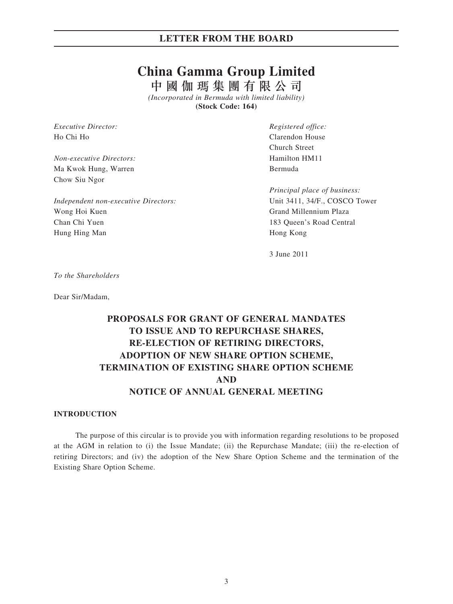# **China Gamma Group Limited**

中國伽瑪集團有限公司 *(Incorporated in Bermuda with limited liability)*

**(Stock Code: 164)**

*Executive Director: Registered office:* Ho Chi Ho Chi Ho Chi Ho Chi Ho Chi Ho Chi House and the Clarendon House and the Clarendon House and the Clarendon House and the Clarendon House and the Clarendon House and the Clarendon House and the Clarendon House and th

*Non-executive Directors:* Hamilton HM11 Ma Kwok Hung, Warren Bermuda Chow Siu Ngor

*Independent non-executive Directors:* Unit 3411, 34/F., COSCO Tower Wong Hoi Kuen Grand Millennium Plaza Chan Chi Yuen 183 Queen's Road Central Hung Hing Man Hong Kong

Church Street

 *Principal place of business:*

3 June 2011

*To the Shareholders*

Dear Sir/Madam,

# **PROPOSALS FOR GRANT OF GENERAL MANDATES TO ISSUE AND TO REPURCHASE SHARES, RE-ELECTION OF RETIRING DIRECTORS, ADOPTION OF NEW SHARE OPTION SCHEME, TERMINATION OF EXISTING SHARE OPTION SCHEME AND NOTICE OF ANNUAL GENERAL MEETING**

## **INTRODUCTION**

The purpose of this circular is to provide you with information regarding resolutions to be proposed at the AGM in relation to (i) the Issue Mandate; (ii) the Repurchase Mandate; (iii) the re-election of retiring Directors; and (iv) the adoption of the New Share Option Scheme and the termination of the Existing Share Option Scheme.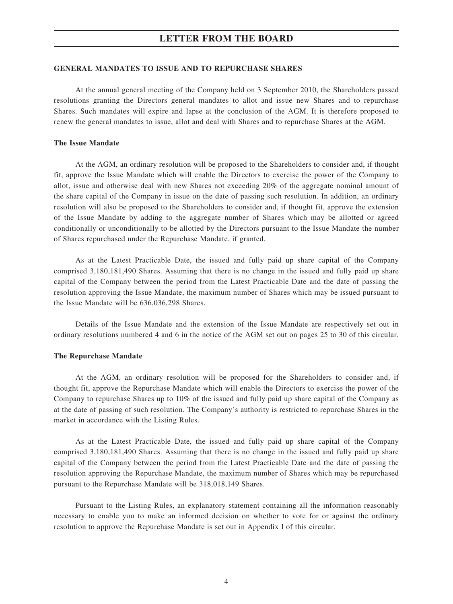## **GENERAL MANDATES TO ISSUE AND TO REPURCHASE SHARES**

At the annual general meeting of the Company held on 3 September 2010, the Shareholders passed resolutions granting the Directors general mandates to allot and issue new Shares and to repurchase Shares. Such mandates will expire and lapse at the conclusion of the AGM. It is therefore proposed to renew the general mandates to issue, allot and deal with Shares and to repurchase Shares at the AGM.

#### **The Issue Mandate**

At the AGM, an ordinary resolution will be proposed to the Shareholders to consider and, if thought fit, approve the Issue Mandate which will enable the Directors to exercise the power of the Company to allot, issue and otherwise deal with new Shares not exceeding 20% of the aggregate nominal amount of the share capital of the Company in issue on the date of passing such resolution. In addition, an ordinary resolution will also be proposed to the Shareholders to consider and, if thought fit, approve the extension of the Issue Mandate by adding to the aggregate number of Shares which may be allotted or agreed conditionally or unconditionally to be allotted by the Directors pursuant to the Issue Mandate the number of Shares repurchased under the Repurchase Mandate, if granted.

As at the Latest Practicable Date, the issued and fully paid up share capital of the Company comprised 3,180,181,490 Shares. Assuming that there is no change in the issued and fully paid up share capital of the Company between the period from the Latest Practicable Date and the date of passing the resolution approving the Issue Mandate, the maximum number of Shares which may be issued pursuant to the Issue Mandate will be 636,036,298 Shares.

Details of the Issue Mandate and the extension of the Issue Mandate are respectively set out in ordinary resolutions numbered 4 and 6 in the notice of the AGM set out on pages 25 to 30 of this circular.

#### **The Repurchase Mandate**

At the AGM, an ordinary resolution will be proposed for the Shareholders to consider and, if thought fit, approve the Repurchase Mandate which will enable the Directors to exercise the power of the Company to repurchase Shares up to 10% of the issued and fully paid up share capital of the Company as at the date of passing of such resolution. The Company's authority is restricted to repurchase Shares in the market in accordance with the Listing Rules.

As at the Latest Practicable Date, the issued and fully paid up share capital of the Company comprised 3,180,181,490 Shares. Assuming that there is no change in the issued and fully paid up share capital of the Company between the period from the Latest Practicable Date and the date of passing the resolution approving the Repurchase Mandate, the maximum number of Shares which may be repurchased pursuant to the Repurchase Mandate will be 318,018,149 Shares.

Pursuant to the Listing Rules, an explanatory statement containing all the information reasonably necessary to enable you to make an informed decision on whether to vote for or against the ordinary resolution to approve the Repurchase Mandate is set out in Appendix I of this circular.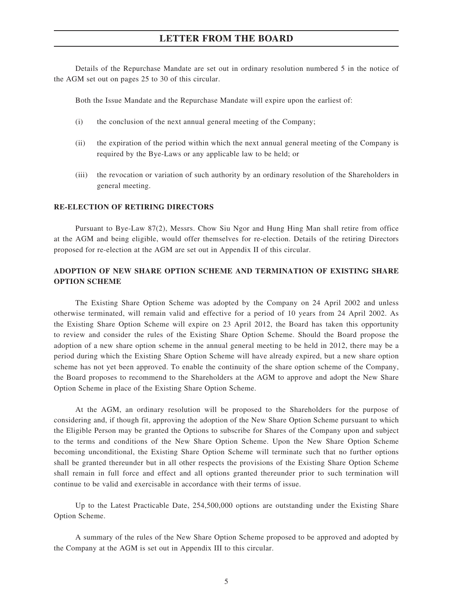Details of the Repurchase Mandate are set out in ordinary resolution numbered 5 in the notice of the AGM set out on pages 25 to 30 of this circular.

Both the Issue Mandate and the Repurchase Mandate will expire upon the earliest of:

- (i) the conclusion of the next annual general meeting of the Company;
- (ii) the expiration of the period within which the next annual general meeting of the Company is required by the Bye-Laws or any applicable law to be held; or
- (iii) the revocation or variation of such authority by an ordinary resolution of the Shareholders in general meeting.

#### **RE-ELECTION OF RETIRING DIRECTORS**

Pursuant to Bye-Law 87(2), Messrs. Chow Siu Ngor and Hung Hing Man shall retire from office at the AGM and being eligible, would offer themselves for re-election. Details of the retiring Directors proposed for re-election at the AGM are set out in Appendix II of this circular.

# **ADOPTION OF NEW SHARE OPTION SCHEME AND TERMINATION OF EXISTING SHARE OPTION SCHEME**

The Existing Share Option Scheme was adopted by the Company on 24 April 2002 and unless otherwise terminated, will remain valid and effective for a period of 10 years from 24 April 2002. As the Existing Share Option Scheme will expire on 23 April 2012, the Board has taken this opportunity to review and consider the rules of the Existing Share Option Scheme. Should the Board propose the adoption of a new share option scheme in the annual general meeting to be held in 2012, there may be a period during which the Existing Share Option Scheme will have already expired, but a new share option scheme has not yet been approved. To enable the continuity of the share option scheme of the Company, the Board proposes to recommend to the Shareholders at the AGM to approve and adopt the New Share Option Scheme in place of the Existing Share Option Scheme.

At the AGM, an ordinary resolution will be proposed to the Shareholders for the purpose of considering and, if though fit, approving the adoption of the New Share Option Scheme pursuant to which the Eligible Person may be granted the Options to subscribe for Shares of the Company upon and subject to the terms and conditions of the New Share Option Scheme. Upon the New Share Option Scheme becoming unconditional, the Existing Share Option Scheme will terminate such that no further options shall be granted thereunder but in all other respects the provisions of the Existing Share Option Scheme shall remain in full force and effect and all options granted thereunder prior to such termination will continue to be valid and exercisable in accordance with their terms of issue.

Up to the Latest Practicable Date, 254,500,000 options are outstanding under the Existing Share Option Scheme.

A summary of the rules of the New Share Option Scheme proposed to be approved and adopted by the Company at the AGM is set out in Appendix III to this circular.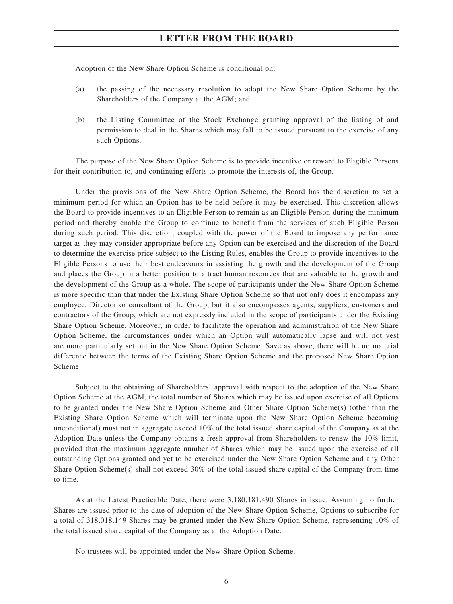Adoption of the New Share Option Scheme is conditional on:

- (a) the passing of the necessary resolution to adopt the New Share Option Scheme by the Shareholders of the Company at the AGM; and
- (b) the Listing Committee of the Stock Exchange granting approval of the listing of and permission to deal in the Shares which may fall to be issued pursuant to the exercise of any such Options.

The purpose of the New Share Option Scheme is to provide incentive or reward to Eligible Persons for their contribution to, and continuing efforts to promote the interests of, the Group.

Under the provisions of the New Share Option Scheme, the Board has the discretion to set a minimum period for which an Option has to be held before it may be exercised. This discretion allows the Board to provide incentives to an Eligible Person to remain as an Eligible Person during the minimum period and thereby enable the Group to continue to benefit from the services of such Eligible Person during such period. This discretion, coupled with the power of the Board to impose any performance target as they may consider appropriate before any Option can be exercised and the discretion of the Board to determine the exercise price subject to the Listing Rules, enables the Group to provide incentives to the Eligible Persons to use their best endeavours in assisting the growth and the development of the Group and places the Group in a better position to attract human resources that are valuable to the growth and the development of the Group as a whole. The scope of participants under the New Share Option Scheme is more specific than that under the Existing Share Option Scheme so that not only does it encompass any employee, Director or consultant of the Group, but it also encompasses agents, suppliers, customers and contractors of the Group, which are not expressly included in the scope of participants under the Existing Share Option Scheme. Moreover, in order to facilitate the operation and administration of the New Share Option Scheme, the circumstances under which an Option will automatically lapse and will not vest are more particularly set out in the New Share Option Scheme. Save as above, there will be no material difference between the terms of the Existing Share Option Scheme and the proposed New Share Option Scheme.

Subject to the obtaining of Shareholders' approval with respect to the adoption of the New Share Option Scheme at the AGM, the total number of Shares which may be issued upon exercise of all Options to be granted under the New Share Option Scheme and Other Share Option Scheme(s) (other than the Existing Share Option Scheme which will terminate upon the New Share Option Scheme becoming unconditional) must not in aggregate exceed 10% of the total issued share capital of the Company as at the Adoption Date unless the Company obtains a fresh approval from Shareholders to renew the 10% limit, provided that the maximum aggregate number of Shares which may be issued upon the exercise of all outstanding Options granted and yet to be exercised under the New Share Option Scheme and any Other Share Option Scheme(s) shall not exceed 30% of the total issued share capital of the Company from time to time.

As at the Latest Practicable Date, there were 3,180,181,490 Shares in issue. Assuming no further Shares are issued prior to the date of adoption of the New Share Option Scheme, Options to subscribe for a total of 318,018,149 Shares may be granted under the New Share Option Scheme, representing 10% of the total issued share capital of the Company as at the Adoption Date.

No trustees will be appointed under the New Share Option Scheme.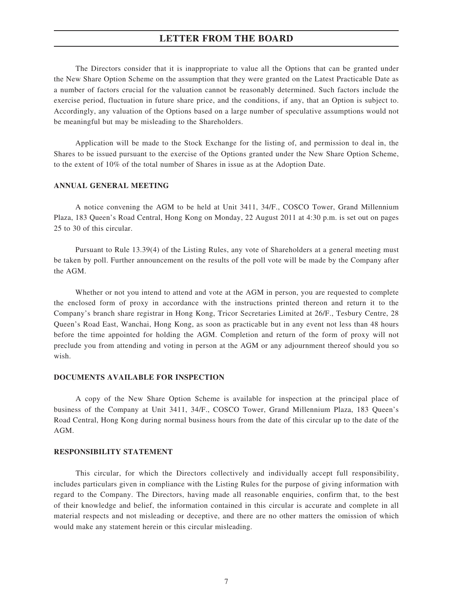The Directors consider that it is inappropriate to value all the Options that can be granted under the New Share Option Scheme on the assumption that they were granted on the Latest Practicable Date as a number of factors crucial for the valuation cannot be reasonably determined. Such factors include the exercise period, fluctuation in future share price, and the conditions, if any, that an Option is subject to. Accordingly, any valuation of the Options based on a large number of speculative assumptions would not be meaningful but may be misleading to the Shareholders.

Application will be made to the Stock Exchange for the listing of, and permission to deal in, the Shares to be issued pursuant to the exercise of the Options granted under the New Share Option Scheme, to the extent of 10% of the total number of Shares in issue as at the Adoption Date.

#### **ANNUAL GENERAL MEETING**

A notice convening the AGM to be held at Unit 3411, 34/F., COSCO Tower, Grand Millennium Plaza, 183 Queen's Road Central, Hong Kong on Monday, 22 August 2011 at 4:30 p.m. is set out on pages 25 to 30 of this circular.

Pursuant to Rule 13.39(4) of the Listing Rules, any vote of Shareholders at a general meeting must be taken by poll. Further announcement on the results of the poll vote will be made by the Company after the AGM.

Whether or not you intend to attend and vote at the AGM in person, you are requested to complete the enclosed form of proxy in accordance with the instructions printed thereon and return it to the Company's branch share registrar in Hong Kong, Tricor Secretaries Limited at 26/F., Tesbury Centre, 28 Queen's Road East, Wanchai, Hong Kong, as soon as practicable but in any event not less than 48 hours before the time appointed for holding the AGM. Completion and return of the form of proxy will not preclude you from attending and voting in person at the AGM or any adjournment thereof should you so wish.

#### **DOCUMENTS AVAILABLE FOR INSPECTION**

A copy of the New Share Option Scheme is available for inspection at the principal place of business of the Company at Unit 3411, 34/F., COSCO Tower, Grand Millennium Plaza, 183 Queen's Road Central, Hong Kong during normal business hours from the date of this circular up to the date of the AGM.

### **RESPONSIBILITY STATEMENT**

This circular, for which the Directors collectively and individually accept full responsibility, includes particulars given in compliance with the Listing Rules for the purpose of giving information with regard to the Company. The Directors, having made all reasonable enquiries, confirm that, to the best of their knowledge and belief, the information contained in this circular is accurate and complete in all material respects and not misleading or deceptive, and there are no other matters the omission of which would make any statement herein or this circular misleading.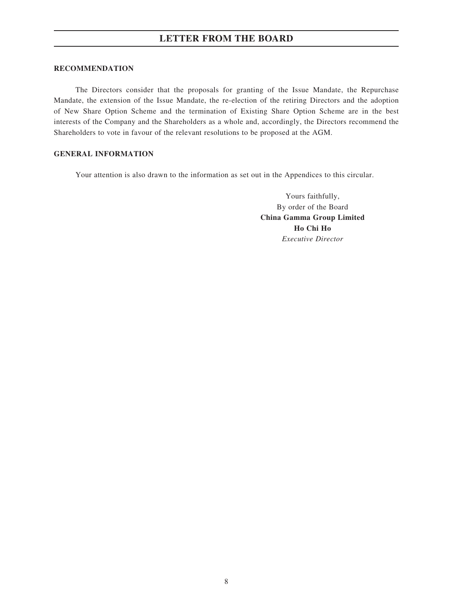#### **RECOMMENDATION**

The Directors consider that the proposals for granting of the Issue Mandate, the Repurchase Mandate, the extension of the Issue Mandate, the re-election of the retiring Directors and the adoption of New Share Option Scheme and the termination of Existing Share Option Scheme are in the best interests of the Company and the Shareholders as a whole and, accordingly, the Directors recommend the Shareholders to vote in favour of the relevant resolutions to be proposed at the AGM.

# **GENERAL INFORMATION**

Your attention is also drawn to the information as set out in the Appendices to this circular.

Yours faithfully, By order of the Board **China Gamma Group Limited Ho Chi Ho** *Executive Director*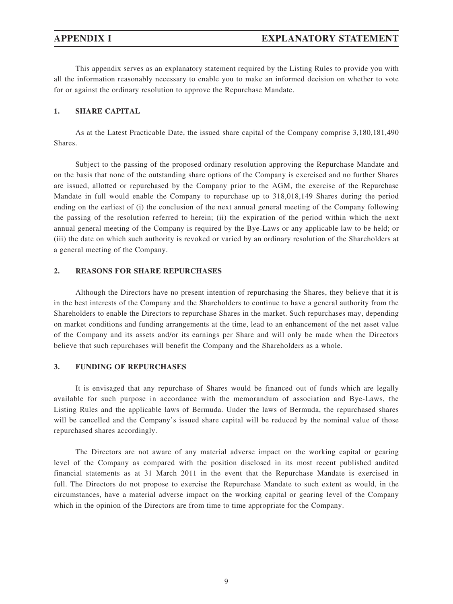This appendix serves as an explanatory statement required by the Listing Rules to provide you with all the information reasonably necessary to enable you to make an informed decision on whether to vote for or against the ordinary resolution to approve the Repurchase Mandate.

# **1. SHARE CAPITAL**

As at the Latest Practicable Date, the issued share capital of the Company comprise 3,180,181,490 Shares.

Subject to the passing of the proposed ordinary resolution approving the Repurchase Mandate and on the basis that none of the outstanding share options of the Company is exercised and no further Shares are issued, allotted or repurchased by the Company prior to the AGM, the exercise of the Repurchase Mandate in full would enable the Company to repurchase up to 318,018,149 Shares during the period ending on the earliest of (i) the conclusion of the next annual general meeting of the Company following the passing of the resolution referred to herein; (ii) the expiration of the period within which the next annual general meeting of the Company is required by the Bye-Laws or any applicable law to be held; or (iii) the date on which such authority is revoked or varied by an ordinary resolution of the Shareholders at a general meeting of the Company.

## **2. REASONS FOR SHARE REPURCHASES**

Although the Directors have no present intention of repurchasing the Shares, they believe that it is in the best interests of the Company and the Shareholders to continue to have a general authority from the Shareholders to enable the Directors to repurchase Shares in the market. Such repurchases may, depending on market conditions and funding arrangements at the time, lead to an enhancement of the net asset value of the Company and its assets and/or its earnings per Share and will only be made when the Directors believe that such repurchases will benefit the Company and the Shareholders as a whole.

#### **3. FUNDING OF REPURCHASES**

It is envisaged that any repurchase of Shares would be financed out of funds which are legally available for such purpose in accordance with the memorandum of association and Bye-Laws, the Listing Rules and the applicable laws of Bermuda. Under the laws of Bermuda, the repurchased shares will be cancelled and the Company's issued share capital will be reduced by the nominal value of those repurchased shares accordingly.

The Directors are not aware of any material adverse impact on the working capital or gearing level of the Company as compared with the position disclosed in its most recent published audited financial statements as at 31 March 2011 in the event that the Repurchase Mandate is exercised in full. The Directors do not propose to exercise the Repurchase Mandate to such extent as would, in the circumstances, have a material adverse impact on the working capital or gearing level of the Company which in the opinion of the Directors are from time to time appropriate for the Company.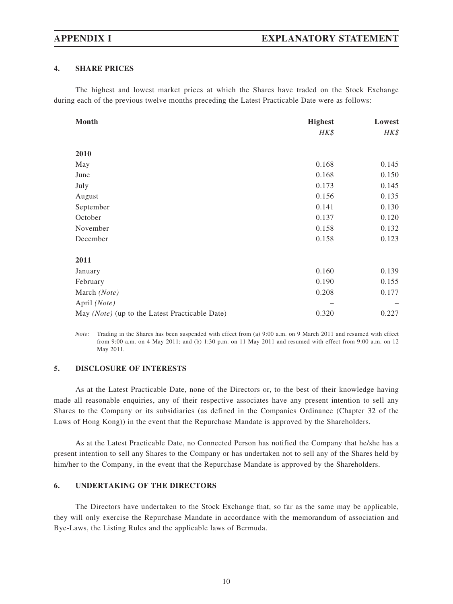# **4. SHARE PRICES**

The highest and lowest market prices at which the Shares have traded on the Stock Exchange during each of the previous twelve months preceding the Latest Practicable Date were as follows:

| Month                                          | <b>Highest</b> | Lowest |
|------------------------------------------------|----------------|--------|
|                                                | HK\$           | HK\$   |
|                                                |                |        |
| 2010                                           |                |        |
| May                                            | 0.168          | 0.145  |
| June                                           | 0.168          | 0.150  |
| July                                           | 0.173          | 0.145  |
| August                                         | 0.156          | 0.135  |
| September                                      | 0.141          | 0.130  |
| October                                        | 0.137          | 0.120  |
| November                                       | 0.158          | 0.132  |
| December                                       | 0.158          | 0.123  |
| 2011                                           |                |        |
| January                                        | 0.160          | 0.139  |
| February                                       | 0.190          | 0.155  |
| March (Note)                                   | 0.208          | 0.177  |
| April (Note)                                   |                |        |
| May (Note) (up to the Latest Practicable Date) | 0.320          | 0.227  |

*Note:* Trading in the Shares has been suspended with effect from (a) 9:00 a.m. on 9 March 2011 and resumed with effect from 9:00 a.m. on 4 May 2011; and (b) 1:30 p.m. on 11 May 2011 and resumed with effect from 9:00 a.m. on 12 May 2011.

# **5. DISCLOSURE OF INTERESTS**

As at the Latest Practicable Date, none of the Directors or, to the best of their knowledge having made all reasonable enquiries, any of their respective associates have any present intention to sell any Shares to the Company or its subsidiaries (as defined in the Companies Ordinance (Chapter 32 of the Laws of Hong Kong)) in the event that the Repurchase Mandate is approved by the Shareholders.

As at the Latest Practicable Date, no Connected Person has notified the Company that he/she has a present intention to sell any Shares to the Company or has undertaken not to sell any of the Shares held by him/her to the Company, in the event that the Repurchase Mandate is approved by the Shareholders.

# **6. UNDERTAKING OF THE DIRECTORS**

The Directors have undertaken to the Stock Exchange that, so far as the same may be applicable, they will only exercise the Repurchase Mandate in accordance with the memorandum of association and Bye-Laws, the Listing Rules and the applicable laws of Bermuda.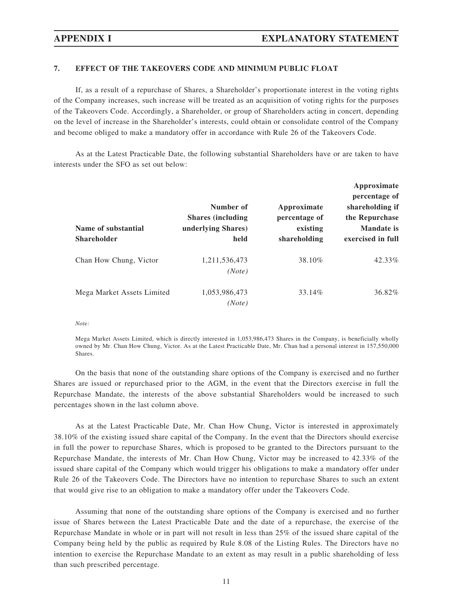# **7. EFFECT OF THE TAKEOVERS CODE AND MINIMUM PUBLIC FLOAT**

If, as a result of a repurchase of Shares, a Shareholder's proportionate interest in the voting rights of the Company increases, such increase will be treated as an acquisition of voting rights for the purposes of the Takeovers Code. Accordingly, a Shareholder, or group of Shareholders acting in concert, depending on the level of increase in the Shareholder's interests, could obtain or consolidate control of the Company and become obliged to make a mandatory offer in accordance with Rule 26 of the Takeovers Code.

As at the Latest Practicable Date, the following substantial Shareholders have or are taken to have interests under the SFO as set out below:

| Name of substantial<br>Shareholder | Number of<br><b>Shares (including</b><br>underlying Shares)<br>held | Approximate<br>percentage of<br>existing<br>shareholding | Approximate<br>percentage of<br>shareholding if<br>the Repurchase<br><b>Mandate</b> is<br>exercised in full |
|------------------------------------|---------------------------------------------------------------------|----------------------------------------------------------|-------------------------------------------------------------------------------------------------------------|
| Chan How Chung, Victor             | 1,211,536,473<br>(Note)                                             | 38.10%                                                   | 42.33%                                                                                                      |
| Mega Market Assets Limited         | 1,053,986,473<br>(Note)                                             | 33.14%                                                   | 36.82%                                                                                                      |

*Note:*

Mega Market Assets Limited, which is directly interested in 1,053,986,473 Shares in the Company, is beneficially wholly owned by Mr. Chan How Chung, Victor. As at the Latest Practicable Date, Mr. Chan had a personal interest in 157,550,000 Shares.

On the basis that none of the outstanding share options of the Company is exercised and no further Shares are issued or repurchased prior to the AGM, in the event that the Directors exercise in full the Repurchase Mandate, the interests of the above substantial Shareholders would be increased to such percentages shown in the last column above.

As at the Latest Practicable Date, Mr. Chan How Chung, Victor is interested in approximately 38.10% of the existing issued share capital of the Company. In the event that the Directors should exercise in full the power to repurchase Shares, which is proposed to be granted to the Directors pursuant to the Repurchase Mandate, the interests of Mr. Chan How Chung, Victor may be increased to 42.33% of the issued share capital of the Company which would trigger his obligations to make a mandatory offer under Rule 26 of the Takeovers Code. The Directors have no intention to repurchase Shares to such an extent that would give rise to an obligation to make a mandatory offer under the Takeovers Code.

Assuming that none of the outstanding share options of the Company is exercised and no further issue of Shares between the Latest Practicable Date and the date of a repurchase, the exercise of the Repurchase Mandate in whole or in part will not result in less than 25% of the issued share capital of the Company being held by the public as required by Rule 8.08 of the Listing Rules. The Directors have no intention to exercise the Repurchase Mandate to an extent as may result in a public shareholding of less than such prescribed percentage.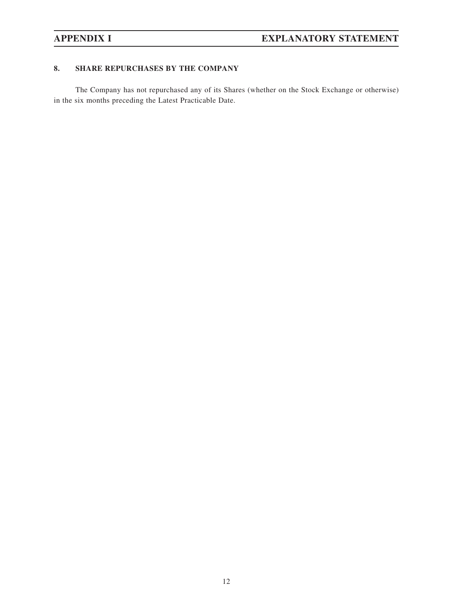# **8. SHARE REPURCHASES BY THE COMPANY**

The Company has not repurchased any of its Shares (whether on the Stock Exchange or otherwise) in the six months preceding the Latest Practicable Date.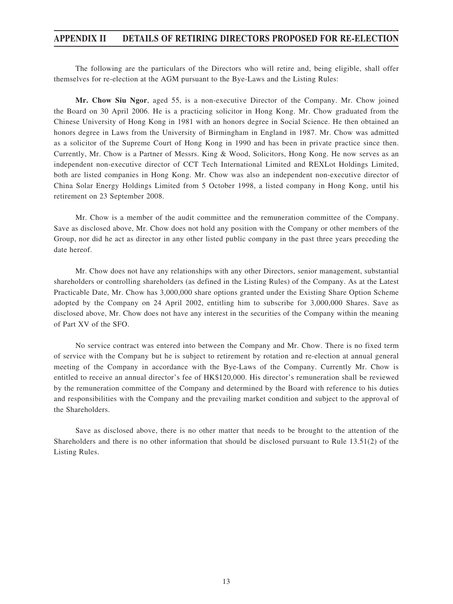# **APPENDIX II DETAILS OF RETIRING DIRECTORS PROPOSED FOR RE-ELECTION**

The following are the particulars of the Directors who will retire and, being eligible, shall offer themselves for re-election at the AGM pursuant to the Bye-Laws and the Listing Rules:

**Mr. Chow Siu Ngor**, aged 55, is a non-executive Director of the Company. Mr. Chow joined the Board on 30 April 2006. He is a practicing solicitor in Hong Kong. Mr. Chow graduated from the Chinese University of Hong Kong in 1981 with an honors degree in Social Science. He then obtained an honors degree in Laws from the University of Birmingham in England in 1987. Mr. Chow was admitted as a solicitor of the Supreme Court of Hong Kong in 1990 and has been in private practice since then. Currently, Mr. Chow is a Partner of Messrs. King & Wood, Solicitors, Hong Kong. He now serves as an independent non-executive director of CCT Tech International Limited and REXLot Holdings Limited, both are listed companies in Hong Kong. Mr. Chow was also an independent non-executive director of China Solar Energy Holdings Limited from 5 October 1998, a listed company in Hong Kong, until his retirement on 23 September 2008.

Mr. Chow is a member of the audit committee and the remuneration committee of the Company. Save as disclosed above, Mr. Chow does not hold any position with the Company or other members of the Group, nor did he act as director in any other listed public company in the past three years preceding the date hereof.

Mr. Chow does not have any relationships with any other Directors, senior management, substantial shareholders or controlling shareholders (as defined in the Listing Rules) of the Company. As at the Latest Practicable Date, Mr. Chow has 3,000,000 share options granted under the Existing Share Option Scheme adopted by the Company on 24 April 2002, entitling him to subscribe for 3,000,000 Shares. Save as disclosed above, Mr. Chow does not have any interest in the securities of the Company within the meaning of Part XV of the SFO.

No service contract was entered into between the Company and Mr. Chow. There is no fixed term of service with the Company but he is subject to retirement by rotation and re-election at annual general meeting of the Company in accordance with the Bye-Laws of the Company. Currently Mr. Chow is entitled to receive an annual director's fee of HK\$120,000. His director's remuneration shall be reviewed by the remuneration committee of the Company and determined by the Board with reference to his duties and responsibilities with the Company and the prevailing market condition and subject to the approval of the Shareholders.

Save as disclosed above, there is no other matter that needs to be brought to the attention of the Shareholders and there is no other information that should be disclosed pursuant to Rule 13.51(2) of the Listing Rules.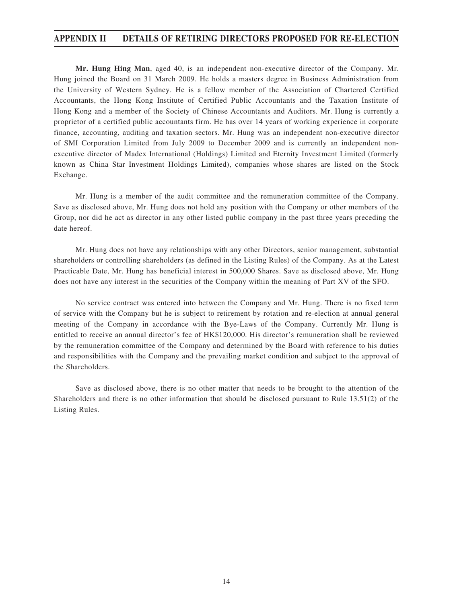# **APPENDIX II DETAILS OF RETIRING DIRECTORS PROPOSED FOR RE-ELECTION**

**Mr. Hung Hing Man**, aged 40, is an independent non-executive director of the Company. Mr. Hung joined the Board on 31 March 2009. He holds a masters degree in Business Administration from the University of Western Sydney. He is a fellow member of the Association of Chartered Certified Accountants, the Hong Kong Institute of Certified Public Accountants and the Taxation Institute of Hong Kong and a member of the Society of Chinese Accountants and Auditors. Mr. Hung is currently a proprietor of a certified public accountants firm. He has over 14 years of working experience in corporate finance, accounting, auditing and taxation sectors. Mr. Hung was an independent non-executive director of SMI Corporation Limited from July 2009 to December 2009 and is currently an independent nonexecutive director of Madex International (Holdings) Limited and Eternity Investment Limited (formerly known as China Star Investment Holdings Limited), companies whose shares are listed on the Stock Exchange.

Mr. Hung is a member of the audit committee and the remuneration committee of the Company. Save as disclosed above, Mr. Hung does not hold any position with the Company or other members of the Group, nor did he act as director in any other listed public company in the past three years preceding the date hereof.

Mr. Hung does not have any relationships with any other Directors, senior management, substantial shareholders or controlling shareholders (as defined in the Listing Rules) of the Company. As at the Latest Practicable Date, Mr. Hung has beneficial interest in 500,000 Shares. Save as disclosed above, Mr. Hung does not have any interest in the securities of the Company within the meaning of Part XV of the SFO.

No service contract was entered into between the Company and Mr. Hung. There is no fixed term of service with the Company but he is subject to retirement by rotation and re-election at annual general meeting of the Company in accordance with the Bye-Laws of the Company. Currently Mr. Hung is entitled to receive an annual director's fee of HK\$120,000. His director's remuneration shall be reviewed by the remuneration committee of the Company and determined by the Board with reference to his duties and responsibilities with the Company and the prevailing market condition and subject to the approval of the Shareholders.

Save as disclosed above, there is no other matter that needs to be brought to the attention of the Shareholders and there is no other information that should be disclosed pursuant to Rule 13.51(2) of the Listing Rules.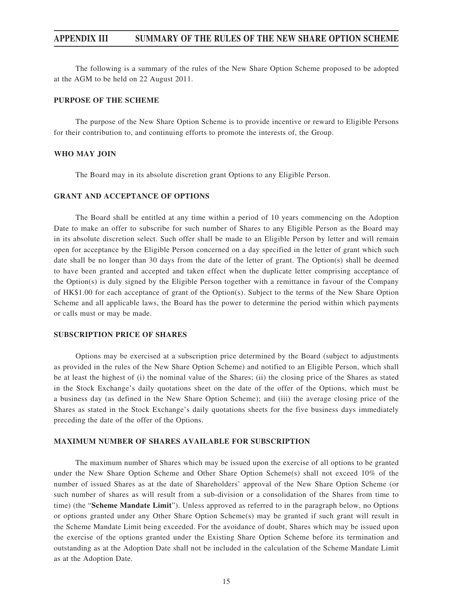The following is a summary of the rules of the New Share Option Scheme proposed to be adopted at the AGM to be held on 22 August 2011.

#### **PURPOSE OF THE SCHEME**

The purpose of the New Share Option Scheme is to provide incentive or reward to Eligible Persons for their contribution to, and continuing efforts to promote the interests of, the Group.

#### **WHO MAY JOIN**

The Board may in its absolute discretion grant Options to any Eligible Person.

## **GRANT AND ACCEPTANCE OF OPTIONS**

The Board shall be entitled at any time within a period of 10 years commencing on the Adoption Date to make an offer to subscribe for such number of Shares to any Eligible Person as the Board may in its absolute discretion select. Such offer shall be made to an Eligible Person by letter and will remain open for acceptance by the Eligible Person concerned on a day specified in the letter of grant which such date shall be no longer than 30 days from the date of the letter of grant. The Option(s) shall be deemed to have been granted and accepted and taken effect when the duplicate letter comprising acceptance of the Option(s) is duly signed by the Eligible Person together with a remittance in favour of the Company of HK\$1.00 for each acceptance of grant of the Option(s). Subject to the terms of the New Share Option Scheme and all applicable laws, the Board has the power to determine the period within which payments or calls must or may be made.

#### **SUBSCRIPTION PRICE OF SHARES**

Options may be exercised at a subscription price determined by the Board (subject to adjustments as provided in the rules of the New Share Option Scheme) and notified to an Eligible Person, which shall be at least the highest of (i) the nominal value of the Shares; (ii) the closing price of the Shares as stated in the Stock Exchange's daily quotations sheet on the date of the offer of the Options, which must be a business day (as defined in the New Share Option Scheme); and (iii) the average closing price of the Shares as stated in the Stock Exchange's daily quotations sheets for the five business days immediately preceding the date of the offer of the Options.

#### **MAXIMUM NUMBER OF SHARES AVAILABLE FOR SUBSCRIPTION**

The maximum number of Shares which may be issued upon the exercise of all options to be granted under the New Share Option Scheme and Other Share Option Scheme(s) shall not exceed 10% of the number of issued Shares as at the date of Shareholders' approval of the New Share Option Scheme (or such number of shares as will result from a sub-division or a consolidation of the Shares from time to time) (the "**Scheme Mandate Limit**"). Unless approved as referred to in the paragraph below, no Options or options granted under any Other Share Option Scheme(s) may be granted if such grant will result in the Scheme Mandate Limit being exceeded. For the avoidance of doubt, Shares which may be issued upon the exercise of the options granted under the Existing Share Option Scheme before its termination and outstanding as at the Adoption Date shall not be included in the calculation of the Scheme Mandate Limit as at the Adoption Date.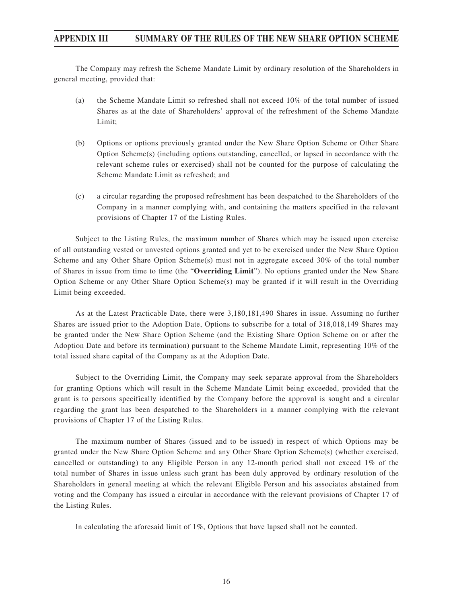The Company may refresh the Scheme Mandate Limit by ordinary resolution of the Shareholders in general meeting, provided that:

- (a) the Scheme Mandate Limit so refreshed shall not exceed 10% of the total number of issued Shares as at the date of Shareholders' approval of the refreshment of the Scheme Mandate Limit;
- (b) Options or options previously granted under the New Share Option Scheme or Other Share Option Scheme(s) (including options outstanding, cancelled, or lapsed in accordance with the relevant scheme rules or exercised) shall not be counted for the purpose of calculating the Scheme Mandate Limit as refreshed; and
- (c) a circular regarding the proposed refreshment has been despatched to the Shareholders of the Company in a manner complying with, and containing the matters specified in the relevant provisions of Chapter 17 of the Listing Rules.

Subject to the Listing Rules, the maximum number of Shares which may be issued upon exercise of all outstanding vested or unvested options granted and yet to be exercised under the New Share Option Scheme and any Other Share Option Scheme(s) must not in aggregate exceed 30% of the total number of Shares in issue from time to time (the "**Overriding Limit**"). No options granted under the New Share Option Scheme or any Other Share Option Scheme(s) may be granted if it will result in the Overriding Limit being exceeded.

As at the Latest Practicable Date, there were 3,180,181,490 Shares in issue. Assuming no further Shares are issued prior to the Adoption Date, Options to subscribe for a total of 318,018,149 Shares may be granted under the New Share Option Scheme (and the Existing Share Option Scheme on or after the Adoption Date and before its termination) pursuant to the Scheme Mandate Limit, representing 10% of the total issued share capital of the Company as at the Adoption Date.

Subject to the Overriding Limit, the Company may seek separate approval from the Shareholders for granting Options which will result in the Scheme Mandate Limit being exceeded, provided that the grant is to persons specifically identified by the Company before the approval is sought and a circular regarding the grant has been despatched to the Shareholders in a manner complying with the relevant provisions of Chapter 17 of the Listing Rules.

The maximum number of Shares (issued and to be issued) in respect of which Options may be granted under the New Share Option Scheme and any Other Share Option Scheme(s) (whether exercised, cancelled or outstanding) to any Eligible Person in any 12-month period shall not exceed 1% of the total number of Shares in issue unless such grant has been duly approved by ordinary resolution of the Shareholders in general meeting at which the relevant Eligible Person and his associates abstained from voting and the Company has issued a circular in accordance with the relevant provisions of Chapter 17 of the Listing Rules.

In calculating the aforesaid limit of 1%, Options that have lapsed shall not be counted.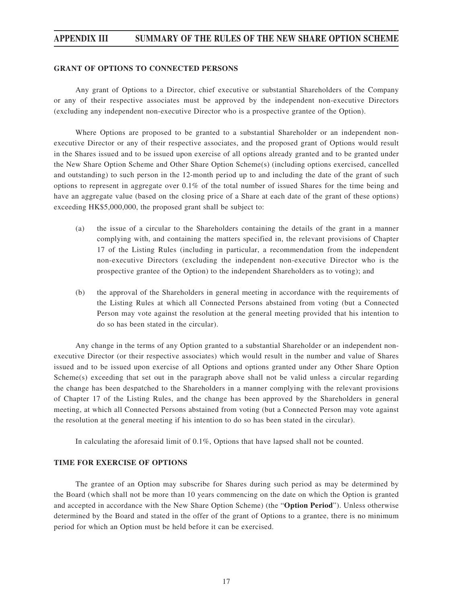#### **GRANT OF OPTIONS TO CONNECTED PERSONS**

Any grant of Options to a Director, chief executive or substantial Shareholders of the Company or any of their respective associates must be approved by the independent non-executive Directors (excluding any independent non-executive Director who is a prospective grantee of the Option).

Where Options are proposed to be granted to a substantial Shareholder or an independent nonexecutive Director or any of their respective associates, and the proposed grant of Options would result in the Shares issued and to be issued upon exercise of all options already granted and to be granted under the New Share Option Scheme and Other Share Option Scheme(s) (including options exercised, cancelled and outstanding) to such person in the 12-month period up to and including the date of the grant of such options to represent in aggregate over 0.1% of the total number of issued Shares for the time being and have an aggregate value (based on the closing price of a Share at each date of the grant of these options) exceeding HK\$5,000,000, the proposed grant shall be subject to:

- (a) the issue of a circular to the Shareholders containing the details of the grant in a manner complying with, and containing the matters specified in, the relevant provisions of Chapter 17 of the Listing Rules (including in particular, a recommendation from the independent non-executive Directors (excluding the independent non-executive Director who is the prospective grantee of the Option) to the independent Shareholders as to voting); and
- (b) the approval of the Shareholders in general meeting in accordance with the requirements of the Listing Rules at which all Connected Persons abstained from voting (but a Connected Person may vote against the resolution at the general meeting provided that his intention to do so has been stated in the circular).

Any change in the terms of any Option granted to a substantial Shareholder or an independent nonexecutive Director (or their respective associates) which would result in the number and value of Shares issued and to be issued upon exercise of all Options and options granted under any Other Share Option Scheme(s) exceeding that set out in the paragraph above shall not be valid unless a circular regarding the change has been despatched to the Shareholders in a manner complying with the relevant provisions of Chapter 17 of the Listing Rules, and the change has been approved by the Shareholders in general meeting, at which all Connected Persons abstained from voting (but a Connected Person may vote against the resolution at the general meeting if his intention to do so has been stated in the circular).

In calculating the aforesaid limit of 0.1%, Options that have lapsed shall not be counted.

## **TIME FOR EXERCISE OF OPTIONS**

The grantee of an Option may subscribe for Shares during such period as may be determined by the Board (which shall not be more than 10 years commencing on the date on which the Option is granted and accepted in accordance with the New Share Option Scheme) (the "**Option Period**"). Unless otherwise determined by the Board and stated in the offer of the grant of Options to a grantee, there is no minimum period for which an Option must be held before it can be exercised.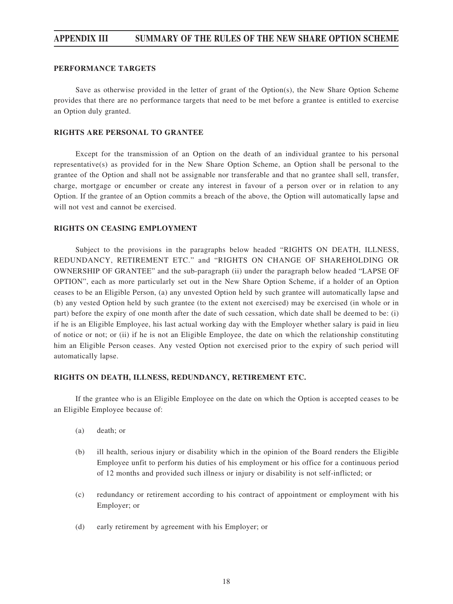#### **PERFORMANCE TARGETS**

Save as otherwise provided in the letter of grant of the Option $(s)$ , the New Share Option Scheme provides that there are no performance targets that need to be met before a grantee is entitled to exercise an Option duly granted.

#### **RIGHTS ARE PERSONAL TO GRANTEE**

Except for the transmission of an Option on the death of an individual grantee to his personal representative(s) as provided for in the New Share Option Scheme, an Option shall be personal to the grantee of the Option and shall not be assignable nor transferable and that no grantee shall sell, transfer, charge, mortgage or encumber or create any interest in favour of a person over or in relation to any Option. If the grantee of an Option commits a breach of the above, the Option will automatically lapse and will not vest and cannot be exercised.

#### **RIGHTS ON CEASING EMPLOYMENT**

Subject to the provisions in the paragraphs below headed "RIGHTS ON DEATH, ILLNESS, REDUNDANCY, RETIREMENT ETC." and "RIGHTS ON CHANGE OF SHAREHOLDING OR OWNERSHIP OF GRANTEE" and the sub-paragraph (ii) under the paragraph below headed "LAPSE OF OPTION", each as more particularly set out in the New Share Option Scheme, if a holder of an Option ceases to be an Eligible Person, (a) any unvested Option held by such grantee will automatically lapse and (b) any vested Option held by such grantee (to the extent not exercised) may be exercised (in whole or in part) before the expiry of one month after the date of such cessation, which date shall be deemed to be: (i) if he is an Eligible Employee, his last actual working day with the Employer whether salary is paid in lieu of notice or not; or (ii) if he is not an Eligible Employee, the date on which the relationship constituting him an Eligible Person ceases. Any vested Option not exercised prior to the expiry of such period will automatically lapse.

#### **RIGHTS ON DEATH, ILLNESS, REDUNDANCY, RETIREMENT ETC.**

If the grantee who is an Eligible Employee on the date on which the Option is accepted ceases to be an Eligible Employee because of:

- (a) death; or
- (b) ill health, serious injury or disability which in the opinion of the Board renders the Eligible Employee unfit to perform his duties of his employment or his office for a continuous period of 12 months and provided such illness or injury or disability is not self-inflicted; or
- (c) redundancy or retirement according to his contract of appointment or employment with his Employer; or
- (d) early retirement by agreement with his Employer; or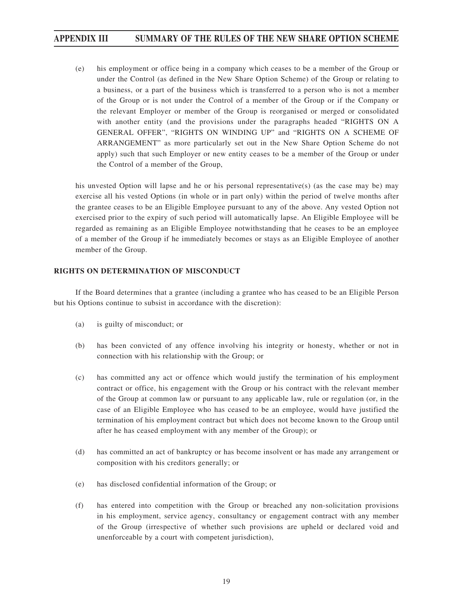(e) his employment or office being in a company which ceases to be a member of the Group or under the Control (as defined in the New Share Option Scheme) of the Group or relating to a business, or a part of the business which is transferred to a person who is not a member of the Group or is not under the Control of a member of the Group or if the Company or the relevant Employer or member of the Group is reorganised or merged or consolidated with another entity (and the provisions under the paragraphs headed "RIGHTS ON A GENERAL OFFER", "RIGHTS ON WINDING UP" and "RIGHTS ON A SCHEME OF ARRANGEMENT" as more particularly set out in the New Share Option Scheme do not apply) such that such Employer or new entity ceases to be a member of the Group or under the Control of a member of the Group,

his unvested Option will lapse and he or his personal representative(s) (as the case may be) may exercise all his vested Options (in whole or in part only) within the period of twelve months after the grantee ceases to be an Eligible Employee pursuant to any of the above. Any vested Option not exercised prior to the expiry of such period will automatically lapse. An Eligible Employee will be regarded as remaining as an Eligible Employee notwithstanding that he ceases to be an employee of a member of the Group if he immediately becomes or stays as an Eligible Employee of another member of the Group.

# **RIGHTS ON DETERMINATION OF MISCONDUCT**

If the Board determines that a grantee (including a grantee who has ceased to be an Eligible Person but his Options continue to subsist in accordance with the discretion):

- (a) is guilty of misconduct; or
- (b) has been convicted of any offence involving his integrity or honesty, whether or not in connection with his relationship with the Group; or
- (c) has committed any act or offence which would justify the termination of his employment contract or office, his engagement with the Group or his contract with the relevant member of the Group at common law or pursuant to any applicable law, rule or regulation (or, in the case of an Eligible Employee who has ceased to be an employee, would have justified the termination of his employment contract but which does not become known to the Group until after he has ceased employment with any member of the Group); or
- (d) has committed an act of bankruptcy or has become insolvent or has made any arrangement or composition with his creditors generally; or
- (e) has disclosed confidential information of the Group; or
- (f) has entered into competition with the Group or breached any non-solicitation provisions in his employment, service agency, consultancy or engagement contract with any member of the Group (irrespective of whether such provisions are upheld or declared void and unenforceable by a court with competent jurisdiction),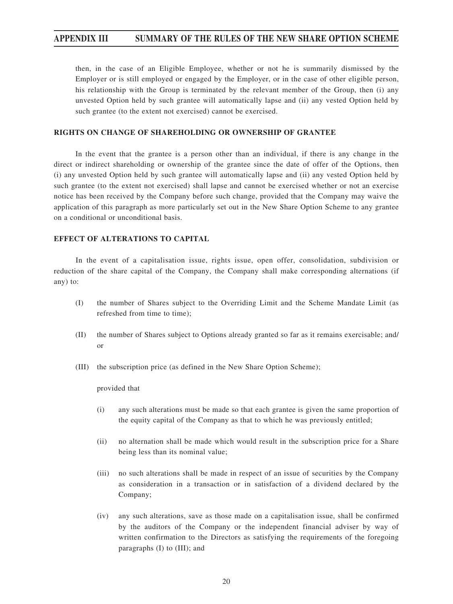then, in the case of an Eligible Employee, whether or not he is summarily dismissed by the Employer or is still employed or engaged by the Employer, or in the case of other eligible person, his relationship with the Group is terminated by the relevant member of the Group, then (i) any unvested Option held by such grantee will automatically lapse and (ii) any vested Option held by such grantee (to the extent not exercised) cannot be exercised.

#### **RIGHTS ON CHANGE OF SHAREHOLDING OR OWNERSHIP OF GRANTEE**

In the event that the grantee is a person other than an individual, if there is any change in the direct or indirect shareholding or ownership of the grantee since the date of offer of the Options, then (i) any unvested Option held by such grantee will automatically lapse and (ii) any vested Option held by such grantee (to the extent not exercised) shall lapse and cannot be exercised whether or not an exercise notice has been received by the Company before such change, provided that the Company may waive the application of this paragraph as more particularly set out in the New Share Option Scheme to any grantee on a conditional or unconditional basis.

## **EFFECT OF ALTERATIONS TO CAPITAL**

In the event of a capitalisation issue, rights issue, open offer, consolidation, subdivision or reduction of the share capital of the Company, the Company shall make corresponding alternations (if any) to:

- (I) the number of Shares subject to the Overriding Limit and the Scheme Mandate Limit (as refreshed from time to time);
- (II) the number of Shares subject to Options already granted so far as it remains exercisable; and/ or
- (III) the subscription price (as defined in the New Share Option Scheme);

provided that

- (i) any such alterations must be made so that each grantee is given the same proportion of the equity capital of the Company as that to which he was previously entitled;
- (ii) no alternation shall be made which would result in the subscription price for a Share being less than its nominal value;
- (iii) no such alterations shall be made in respect of an issue of securities by the Company as consideration in a transaction or in satisfaction of a dividend declared by the Company;
- (iv) any such alterations, save as those made on a capitalisation issue, shall be confirmed by the auditors of the Company or the independent financial adviser by way of written confirmation to the Directors as satisfying the requirements of the foregoing paragraphs (I) to (III); and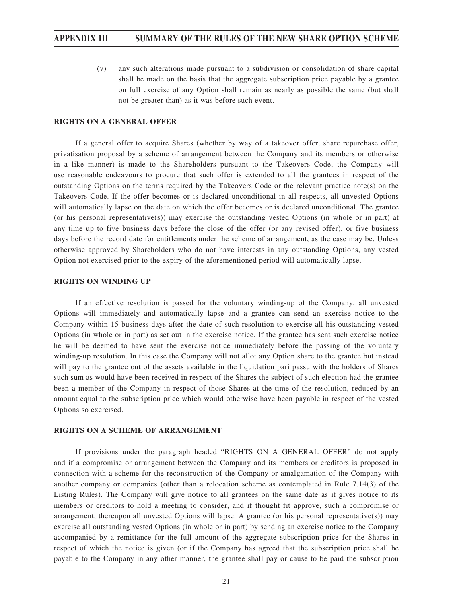(v) any such alterations made pursuant to a subdivision or consolidation of share capital shall be made on the basis that the aggregate subscription price payable by a grantee on full exercise of any Option shall remain as nearly as possible the same (but shall not be greater than) as it was before such event.

#### **RIGHTS ON A GENERAL OFFER**

If a general offer to acquire Shares (whether by way of a takeover offer, share repurchase offer, privatisation proposal by a scheme of arrangement between the Company and its members or otherwise in a like manner) is made to the Shareholders pursuant to the Takeovers Code, the Company will use reasonable endeavours to procure that such offer is extended to all the grantees in respect of the outstanding Options on the terms required by the Takeovers Code or the relevant practice note(s) on the Takeovers Code. If the offer becomes or is declared unconditional in all respects, all unvested Options will automatically lapse on the date on which the offer becomes or is declared unconditional. The grantee (or his personal representative(s)) may exercise the outstanding vested Options (in whole or in part) at any time up to five business days before the close of the offer (or any revised offer), or five business days before the record date for entitlements under the scheme of arrangement, as the case may be. Unless otherwise approved by Shareholders who do not have interests in any outstanding Options, any vested Option not exercised prior to the expiry of the aforementioned period will automatically lapse.

#### **RIGHTS ON WINDING UP**

If an effective resolution is passed for the voluntary winding-up of the Company, all unvested Options will immediately and automatically lapse and a grantee can send an exercise notice to the Company within 15 business days after the date of such resolution to exercise all his outstanding vested Options (in whole or in part) as set out in the exercise notice. If the grantee has sent such exercise notice he will be deemed to have sent the exercise notice immediately before the passing of the voluntary winding-up resolution. In this case the Company will not allot any Option share to the grantee but instead will pay to the grantee out of the assets available in the liquidation pari passu with the holders of Shares such sum as would have been received in respect of the Shares the subject of such election had the grantee been a member of the Company in respect of those Shares at the time of the resolution, reduced by an amount equal to the subscription price which would otherwise have been payable in respect of the vested Options so exercised.

#### **RIGHTS ON A SCHEME OF ARRANGEMENT**

If provisions under the paragraph headed "RIGHTS ON A GENERAL OFFER" do not apply and if a compromise or arrangement between the Company and its members or creditors is proposed in connection with a scheme for the reconstruction of the Company or amalgamation of the Company with another company or companies (other than a relocation scheme as contemplated in Rule 7.14(3) of the Listing Rules). The Company will give notice to all grantees on the same date as it gives notice to its members or creditors to hold a meeting to consider, and if thought fit approve, such a compromise or arrangement, thereupon all unvested Options will lapse. A grantee (or his personal representative(s)) may exercise all outstanding vested Options (in whole or in part) by sending an exercise notice to the Company accompanied by a remittance for the full amount of the aggregate subscription price for the Shares in respect of which the notice is given (or if the Company has agreed that the subscription price shall be payable to the Company in any other manner, the grantee shall pay or cause to be paid the subscription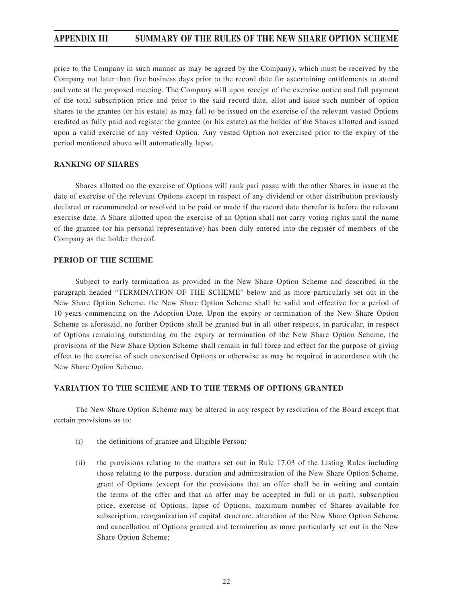price to the Company in such manner as may be agreed by the Company), which must be received by the Company not later than five business days prior to the record date for ascertaining entitlements to attend and vote at the proposed meeting. The Company will upon receipt of the exercise notice and full payment of the total subscription price and prior to the said record date, allot and issue such number of option shares to the grantee (or his estate) as may fall to be issued on the exercise of the relevant vested Options credited as fully paid and register the grantee (or his estate) as the holder of the Shares allotted and issued upon a valid exercise of any vested Option. Any vested Option not exercised prior to the expiry of the period mentioned above will automatically lapse.

#### **RANKING OF SHARES**

Shares allotted on the exercise of Options will rank pari passu with the other Shares in issue at the date of exercise of the relevant Options except in respect of any dividend or other distribution previously declared or recommended or resolved to be paid or made if the record date therefor is before the relevant exercise date. A Share allotted upon the exercise of an Option shall not carry voting rights until the name of the grantee (or his personal representative) has been duly entered into the register of members of the Company as the holder thereof.

#### **PERIOD OF THE SCHEME**

Subject to early termination as provided in the New Share Option Scheme and described in the paragraph headed "TERMINATION OF THE SCHEME" below and as more particularly set out in the New Share Option Scheme, the New Share Option Scheme shall be valid and effective for a period of 10 years commencing on the Adoption Date. Upon the expiry or termination of the New Share Option Scheme as aforesaid, no further Options shall be granted but in all other respects, in particular, in respect of Options remaining outstanding on the expiry or termination of the New Share Option Scheme, the provisions of the New Share Option Scheme shall remain in full force and effect for the purpose of giving effect to the exercise of such unexercised Options or otherwise as may be required in accordance with the New Share Option Scheme.

# **VARIATION TO THE SCHEME AND TO THE TERMS OF OPTIONS GRANTED**

The New Share Option Scheme may be altered in any respect by resolution of the Board except that certain provisions as to:

- (i) the definitions of grantee and Eligible Person;
- (ii) the provisions relating to the matters set out in Rule 17.03 of the Listing Rules including those relating to the purpose, duration and administration of the New Share Option Scheme, grant of Options (except for the provisions that an offer shall be in writing and contain the terms of the offer and that an offer may be accepted in full or in part), subscription price, exercise of Options, lapse of Options, maximum number of Shares available for subscription, reorganization of capital structure, alteration of the New Share Option Scheme and cancellation of Options granted and termination as more particularly set out in the New Share Option Scheme;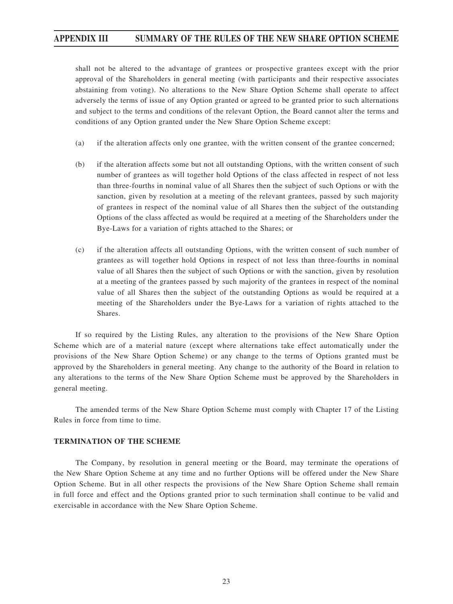shall not be altered to the advantage of grantees or prospective grantees except with the prior approval of the Shareholders in general meeting (with participants and their respective associates abstaining from voting). No alterations to the New Share Option Scheme shall operate to affect adversely the terms of issue of any Option granted or agreed to be granted prior to such alternations and subject to the terms and conditions of the relevant Option, the Board cannot alter the terms and conditions of any Option granted under the New Share Option Scheme except:

- (a) if the alteration affects only one grantee, with the written consent of the grantee concerned;
- (b) if the alteration affects some but not all outstanding Options, with the written consent of such number of grantees as will together hold Options of the class affected in respect of not less than three-fourths in nominal value of all Shares then the subject of such Options or with the sanction, given by resolution at a meeting of the relevant grantees, passed by such majority of grantees in respect of the nominal value of all Shares then the subject of the outstanding Options of the class affected as would be required at a meeting of the Shareholders under the Bye-Laws for a variation of rights attached to the Shares; or
- (c) if the alteration affects all outstanding Options, with the written consent of such number of grantees as will together hold Options in respect of not less than three-fourths in nominal value of all Shares then the subject of such Options or with the sanction, given by resolution at a meeting of the grantees passed by such majority of the grantees in respect of the nominal value of all Shares then the subject of the outstanding Options as would be required at a meeting of the Shareholders under the Bye-Laws for a variation of rights attached to the Shares.

If so required by the Listing Rules, any alteration to the provisions of the New Share Option Scheme which are of a material nature (except where alternations take effect automatically under the provisions of the New Share Option Scheme) or any change to the terms of Options granted must be approved by the Shareholders in general meeting. Any change to the authority of the Board in relation to any alterations to the terms of the New Share Option Scheme must be approved by the Shareholders in general meeting.

The amended terms of the New Share Option Scheme must comply with Chapter 17 of the Listing Rules in force from time to time.

#### **TERMINATION OF THE SCHEME**

The Company, by resolution in general meeting or the Board, may terminate the operations of the New Share Option Scheme at any time and no further Options will be offered under the New Share Option Scheme. But in all other respects the provisions of the New Share Option Scheme shall remain in full force and effect and the Options granted prior to such termination shall continue to be valid and exercisable in accordance with the New Share Option Scheme.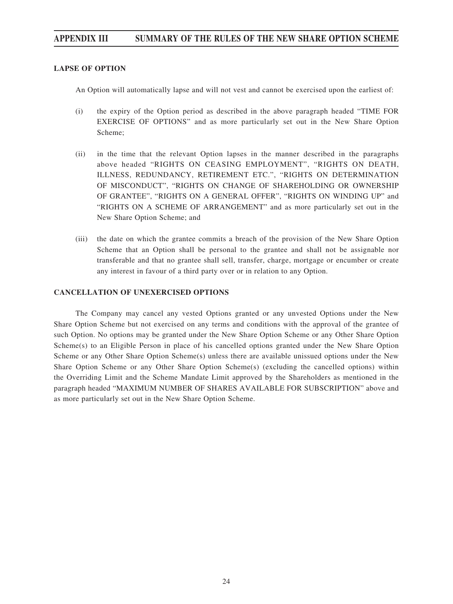## **LAPSE OF OPTION**

An Option will automatically lapse and will not vest and cannot be exercised upon the earliest of:

- (i) the expiry of the Option period as described in the above paragraph headed "TIME FOR EXERCISE OF OPTIONS" and as more particularly set out in the New Share Option Scheme;
- (ii) in the time that the relevant Option lapses in the manner described in the paragraphs above headed "RIGHTS ON CEASING EMPLOYMENT", "RIGHTS ON DEATH, ILLNESS, REDUNDANCY, RETIREMENT ETC.", "RIGHTS ON DETERMINATION OF MISCONDUCT", "RIGHTS ON CHANGE OF SHAREHOLDING OR OWNERSHIP OF GRANTEE", "RIGHTS ON A GENERAL OFFER", "RIGHTS ON WINDING UP" and "RIGHTS ON A SCHEME OF ARRANGEMENT" and as more particularly set out in the New Share Option Scheme; and
- (iii) the date on which the grantee commits a breach of the provision of the New Share Option Scheme that an Option shall be personal to the grantee and shall not be assignable nor transferable and that no grantee shall sell, transfer, charge, mortgage or encumber or create any interest in favour of a third party over or in relation to any Option.

### **CANCELLATION OF UNEXERCISED OPTIONS**

The Company may cancel any vested Options granted or any unvested Options under the New Share Option Scheme but not exercised on any terms and conditions with the approval of the grantee of such Option. No options may be granted under the New Share Option Scheme or any Other Share Option Scheme(s) to an Eligible Person in place of his cancelled options granted under the New Share Option Scheme or any Other Share Option Scheme(s) unless there are available unissued options under the New Share Option Scheme or any Other Share Option Scheme(s) (excluding the cancelled options) within the Overriding Limit and the Scheme Mandate Limit approved by the Shareholders as mentioned in the paragraph headed "MAXIMUM NUMBER OF SHARES AVAILABLE FOR SUBSCRIPTION" above and as more particularly set out in the New Share Option Scheme.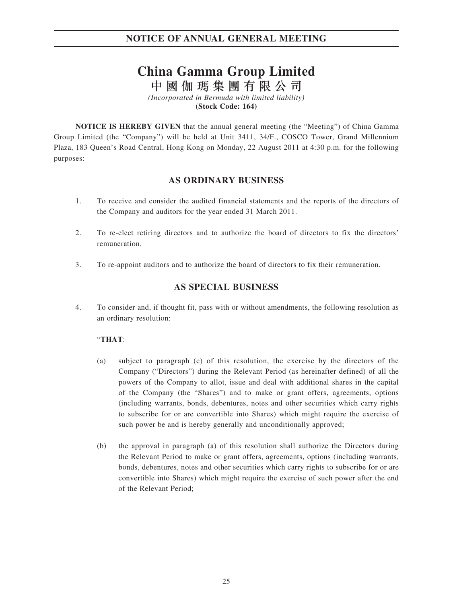# **China Gamma Group Limited**

中國伽瑪集團有限公司

*(Incorporated in Bermuda with limited liability)* **(Stock Code: 164)**

**NOTICE IS HEREBY GIVEN** that the annual general meeting (the "Meeting") of China Gamma Group Limited (the "Company") will be held at Unit 3411, 34/F., COSCO Tower, Grand Millennium Plaza, 183 Queen's Road Central, Hong Kong on Monday, 22 August 2011 at 4:30 p.m. for the following purposes:

# **AS ORDINARY BUSINESS**

- 1. To receive and consider the audited financial statements and the reports of the directors of the Company and auditors for the year ended 31 March 2011.
- 2. To re-elect retiring directors and to authorize the board of directors to fix the directors' remuneration.
- 3. To re-appoint auditors and to authorize the board of directors to fix their remuneration.

# **AS SPECIAL BUSINESS**

4. To consider and, if thought fit, pass with or without amendments, the following resolution as an ordinary resolution:

# "**THAT**:

- (a) subject to paragraph (c) of this resolution, the exercise by the directors of the Company ("Directors") during the Relevant Period (as hereinafter defined) of all the powers of the Company to allot, issue and deal with additional shares in the capital of the Company (the "Shares") and to make or grant offers, agreements, options (including warrants, bonds, debentures, notes and other securities which carry rights to subscribe for or are convertible into Shares) which might require the exercise of such power be and is hereby generally and unconditionally approved;
- (b) the approval in paragraph (a) of this resolution shall authorize the Directors during the Relevant Period to make or grant offers, agreements, options (including warrants, bonds, debentures, notes and other securities which carry rights to subscribe for or are convertible into Shares) which might require the exercise of such power after the end of the Relevant Period;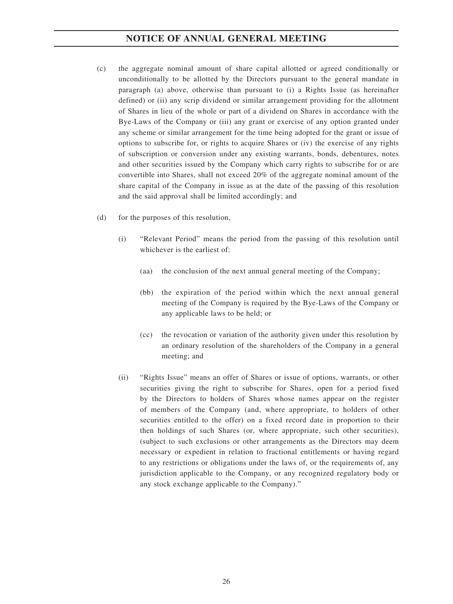- (c) the aggregate nominal amount of share capital allotted or agreed conditionally or unconditionally to be allotted by the Directors pursuant to the general mandate in paragraph (a) above, otherwise than pursuant to (i) a Rights Issue (as hereinafter defined) or (ii) any scrip dividend or similar arrangement providing for the allotment of Shares in lieu of the whole or part of a dividend on Shares in accordance with the Bye-Laws of the Company or (iii) any grant or exercise of any option granted under any scheme or similar arrangement for the time being adopted for the grant or issue of options to subscribe for, or rights to acquire Shares or (iv) the exercise of any rights of subscription or conversion under any existing warrants, bonds, debentures, notes and other securities issued by the Company which carry rights to subscribe for or are convertible into Shares, shall not exceed 20% of the aggregate nominal amount of the share capital of the Company in issue as at the date of the passing of this resolution and the said approval shall be limited accordingly; and
- (d) for the purposes of this resolution,
	- (i) "Relevant Period" means the period from the passing of this resolution until whichever is the earliest of:
		- (aa) the conclusion of the next annual general meeting of the Company;
		- (bb) the expiration of the period within which the next annual general meeting of the Company is required by the Bye-Laws of the Company or any applicable laws to be held; or
		- (cc) the revocation or variation of the authority given under this resolution by an ordinary resolution of the shareholders of the Company in a general meeting; and
	- (ii) "Rights Issue" means an offer of Shares or issue of options, warrants, or other securities giving the right to subscribe for Shares, open for a period fixed by the Directors to holders of Shares whose names appear on the register of members of the Company (and, where appropriate, to holders of other securities entitled to the offer) on a fixed record date in proportion to their then holdings of such Shares (or, where appropriate, such other securities), (subject to such exclusions or other arrangements as the Directors may deem necessary or expedient in relation to fractional entitlements or having regard to any restrictions or obligations under the laws of, or the requirements of, any jurisdiction applicable to the Company, or any recognized regulatory body or any stock exchange applicable to the Company)."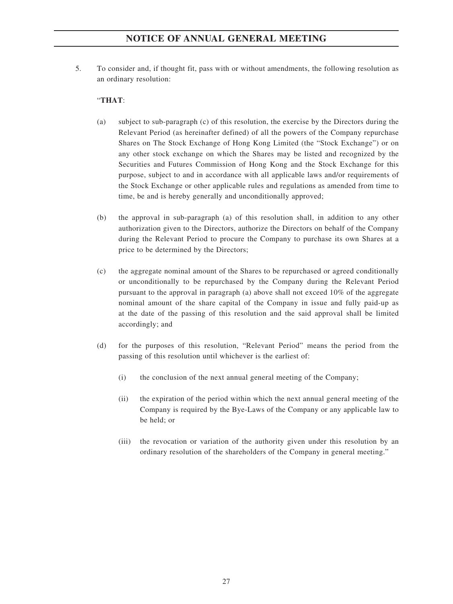5. To consider and, if thought fit, pass with or without amendments, the following resolution as an ordinary resolution:

# "**THAT**:

- (a) subject to sub-paragraph (c) of this resolution, the exercise by the Directors during the Relevant Period (as hereinafter defined) of all the powers of the Company repurchase Shares on The Stock Exchange of Hong Kong Limited (the "Stock Exchange") or on any other stock exchange on which the Shares may be listed and recognized by the Securities and Futures Commission of Hong Kong and the Stock Exchange for this purpose, subject to and in accordance with all applicable laws and/or requirements of the Stock Exchange or other applicable rules and regulations as amended from time to time, be and is hereby generally and unconditionally approved;
- (b) the approval in sub-paragraph (a) of this resolution shall, in addition to any other authorization given to the Directors, authorize the Directors on behalf of the Company during the Relevant Period to procure the Company to purchase its own Shares at a price to be determined by the Directors;
- (c) the aggregate nominal amount of the Shares to be repurchased or agreed conditionally or unconditionally to be repurchased by the Company during the Relevant Period pursuant to the approval in paragraph (a) above shall not exceed 10% of the aggregate nominal amount of the share capital of the Company in issue and fully paid-up as at the date of the passing of this resolution and the said approval shall be limited accordingly; and
- (d) for the purposes of this resolution, "Relevant Period" means the period from the passing of this resolution until whichever is the earliest of:
	- (i) the conclusion of the next annual general meeting of the Company;
	- (ii) the expiration of the period within which the next annual general meeting of the Company is required by the Bye-Laws of the Company or any applicable law to be held; or
	- (iii) the revocation or variation of the authority given under this resolution by an ordinary resolution of the shareholders of the Company in general meeting."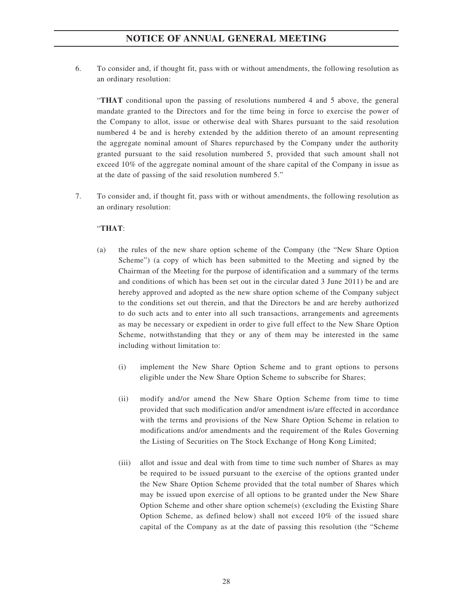6. To consider and, if thought fit, pass with or without amendments, the following resolution as an ordinary resolution:

"**THAT** conditional upon the passing of resolutions numbered 4 and 5 above, the general mandate granted to the Directors and for the time being in force to exercise the power of the Company to allot, issue or otherwise deal with Shares pursuant to the said resolution numbered 4 be and is hereby extended by the addition thereto of an amount representing the aggregate nominal amount of Shares repurchased by the Company under the authority granted pursuant to the said resolution numbered 5, provided that such amount shall not exceed 10% of the aggregate nominal amount of the share capital of the Company in issue as at the date of passing of the said resolution numbered 5."

7. To consider and, if thought fit, pass with or without amendments, the following resolution as an ordinary resolution:

# "**THAT**:

- (a) the rules of the new share option scheme of the Company (the "New Share Option Scheme") (a copy of which has been submitted to the Meeting and signed by the Chairman of the Meeting for the purpose of identification and a summary of the terms and conditions of which has been set out in the circular dated 3 June 2011) be and are hereby approved and adopted as the new share option scheme of the Company subject to the conditions set out therein, and that the Directors be and are hereby authorized to do such acts and to enter into all such transactions, arrangements and agreements as may be necessary or expedient in order to give full effect to the New Share Option Scheme, notwithstanding that they or any of them may be interested in the same including without limitation to:
	- (i) implement the New Share Option Scheme and to grant options to persons eligible under the New Share Option Scheme to subscribe for Shares;
	- (ii) modify and/or amend the New Share Option Scheme from time to time provided that such modification and/or amendment is/are effected in accordance with the terms and provisions of the New Share Option Scheme in relation to modifications and/or amendments and the requirement of the Rules Governing the Listing of Securities on The Stock Exchange of Hong Kong Limited;
	- (iii) allot and issue and deal with from time to time such number of Shares as may be required to be issued pursuant to the exercise of the options granted under the New Share Option Scheme provided that the total number of Shares which may be issued upon exercise of all options to be granted under the New Share Option Scheme and other share option scheme(s) (excluding the Existing Share Option Scheme, as defined below) shall not exceed 10% of the issued share capital of the Company as at the date of passing this resolution (the "Scheme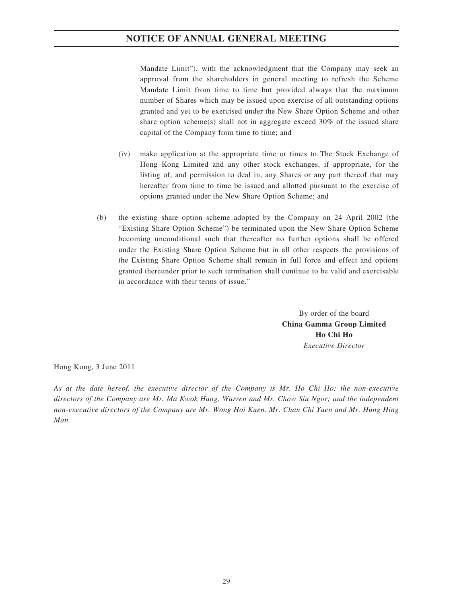Mandate Limit"), with the acknowledgment that the Company may seek an approval from the shareholders in general meeting to refresh the Scheme Mandate Limit from time to time but provided always that the maximum number of Shares which may be issued upon exercise of all outstanding options granted and yet to be exercised under the New Share Option Scheme and other share option scheme(s) shall not in aggregate exceed 30% of the issued share capital of the Company from time to time; and

- (iv) make application at the appropriate time or times to The Stock Exchange of Hong Kong Limited and any other stock exchanges, if appropriate, for the listing of, and permission to deal in, any Shares or any part thereof that may hereafter from time to time be issued and allotted pursuant to the exercise of options granted under the New Share Option Scheme; and
- (b) the existing share option scheme adopted by the Company on 24 April 2002 (the "Existing Share Option Scheme") be terminated upon the New Share Option Scheme becoming unconditional such that thereafter no further options shall be offered under the Existing Share Option Scheme but in all other respects the provisions of the Existing Share Option Scheme shall remain in full force and effect and options granted thereunder prior to such termination shall continue to be valid and exercisable in accordance with their terms of issue."

By order of the board **China Gamma Group Limited Ho Chi Ho** *Executive Director*

Hong Kong, 3 June 2011

*As at the date hereof, the executive director of the Company is Mr. Ho Chi Ho; the non-executive directors of the Company are Mr. Ma Kwok Hung, Warren and Mr. Chow Siu Ngor; and the independent non-executive directors of the Company are Mr. Wong Hoi Kuen, Mr. Chan Chi Yuen and Mr. Hung Hing Man.*